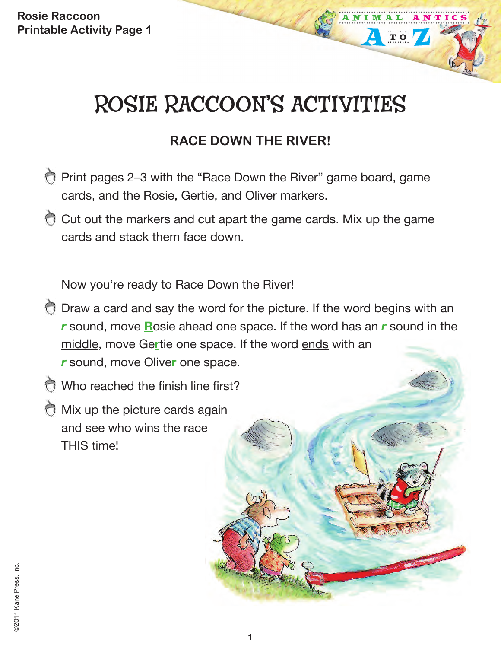# ROSIE RACCOON'S ACTIVITIES

 $T$  O

## **RACE DOWN THE RIVER!**

- Print pages 2–3 with the "Race Down the River" game board, game cards, and the Rosie, Gertie, and Oliver markers.
- Cut out the markers and cut apart the game cards. Mix up the game cards and stack them face down.

Now you're ready to Race Down the River!

- O Draw a card and say the word for the picture. If the word begins with an *r* sound, move **R**osie ahead one space. If the word has an *r* sound in the middle, move Ge**r**tie one space. If the word ends with an *r* sound, move Olive**r** one space.
- Who reached the finish line first?
- Mix up the picture cards again and see who wins the race THIS time!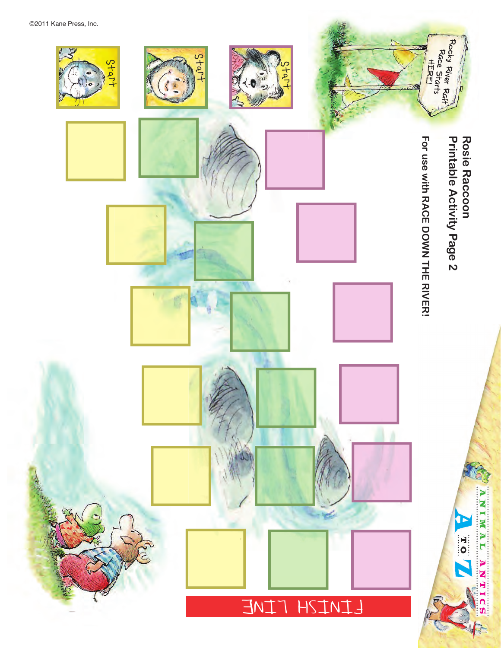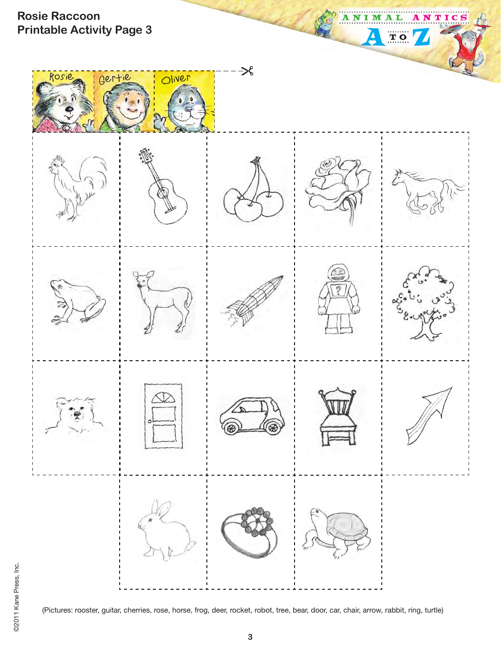

©2011 Kane Press, Inc. ©2011 Kane Press, Inc.

(Pictures: rooster, guitar, cherries, rose, horse, frog, deer, rocket, robot, tree, bear, door, car, chair, arrow, rabbit, ring, turtle)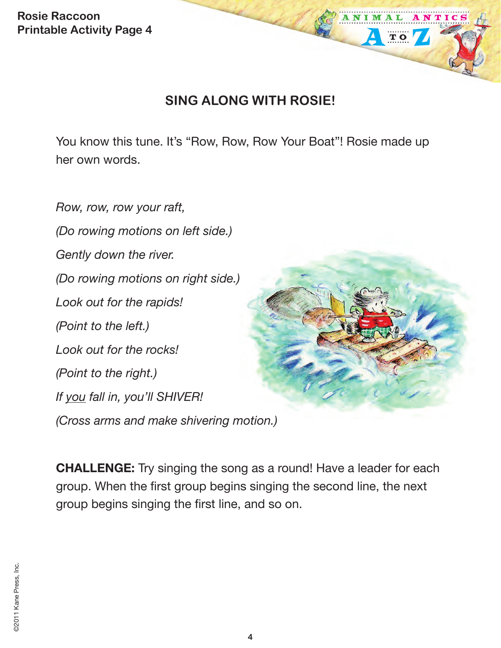### **SING ALONG WITH ROSIE!**

ANIM

TO

NTIC

You know this tune. It's "Row, Row, Row Your Boat"! Rosie made up her own words.

*Row, row, row your raft, (Do rowing motions on left side.) Gently down the river. (Do rowing motions on right side.) Look out for the rapids! (Point to the left.) Look out for the rocks! (Point to the right.) If you fall in, you'll SHIVER! (Cross arms and make shivering motion.)*

**CHALLENGE:** Try singing the song as a round! Have a leader for each group. When the first group begins singing the second line, the next group begins singing the first line, and so on.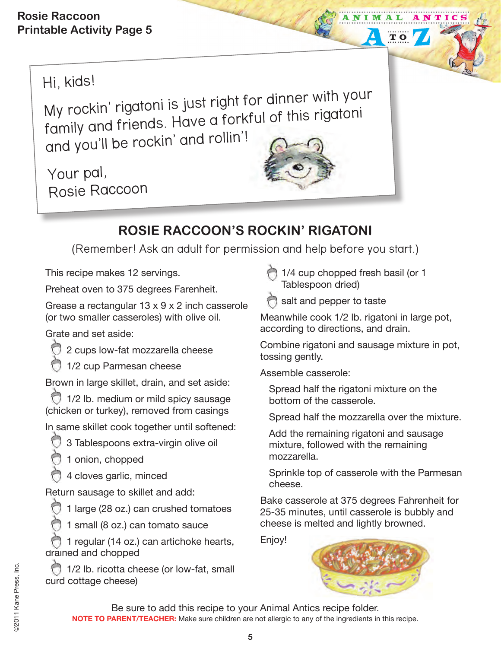Hi, kids!

My rockin' rigatoni is just right for dinner with your family and friends. Have a forkful of this rigatoni and you'll be rockin' and rollin'!

Your pal, Rosie Raccoon



## **ROSIE RACCOON'S ROCKIN' RIGATONI**

(Remember! Ask an adult for permission and help before you start.)

This recipe makes 12 servings.

Preheat oven to 375 degrees Farenheit.

Grease a rectangular 13 x 9 x 2 inch casserole (or two smaller casseroles) with olive oil.

Grate and set aside:

- 2 cups low-fat mozzarella cheese
- 1/2 cup Parmesan cheese

Brown in large skillet, drain, and set aside:

1/2 lb. medium or mild spicy sausage (chicken or turkey), removed from casings

In same skillet cook together until softened:

3 Tablespoons extra-virgin olive oil

1 onion, chopped

4 cloves garlic, minced

Return sausage to skillet and add:

1 large (28 oz.) can crushed tomatoes

1 small (8 oz.) can tomato sauce

1 regular (14 oz.) can artichoke hearts, drained and chopped

1/2 lb. ricotta cheese (or low-fat, small curd cottage cheese)

 1/4 cup chopped fresh basil (or 1 Tablespoon dried)

salt and pepper to taste

Meanwhile cook 1/2 lb. rigatoni in large pot, according to directions, and drain.

NTIC

TO

Combine rigatoni and sausage mixture in pot, tossing gently.

Assemble casserole:

Spread half the rigatoni mixture on the bottom of the casserole.

Spread half the mozzarella over the mixture.

Add the remaining rigatoni and sausage mixture, followed with the remaining mozzarella.

Sprinkle top of casserole with the Parmesan cheese.

Bake casserole at 375 degrees Fahrenheit for 25-35 minutes, until casserole is bubbly and cheese is melted and lightly browned.

Enjoy!



Be sure to add this recipe to your Animal Antics recipe folder. **NOTE TO PARENT/TEACHER:** Make sure children are not allergic to any of the ingredients in this recipe.